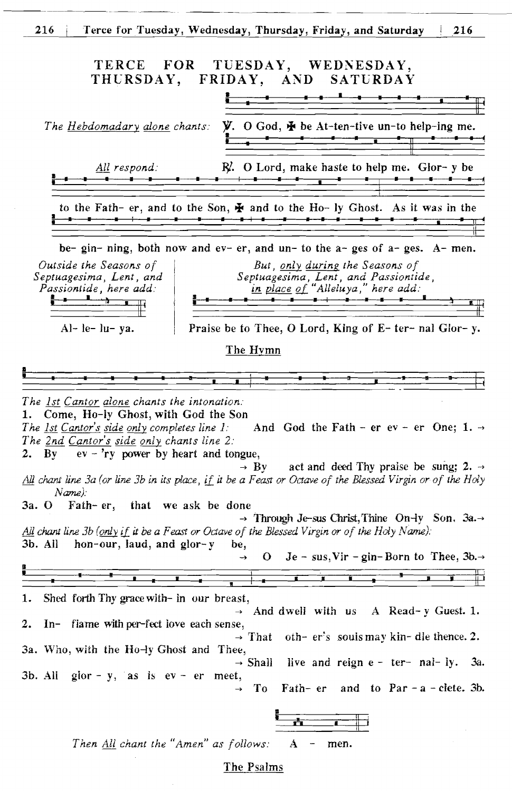Terce for Tuesday, Wednesday, Thursday, Friday, and Saturday 216 216



Then All chant the "Amen" as follows: Á men.

#### The Psalms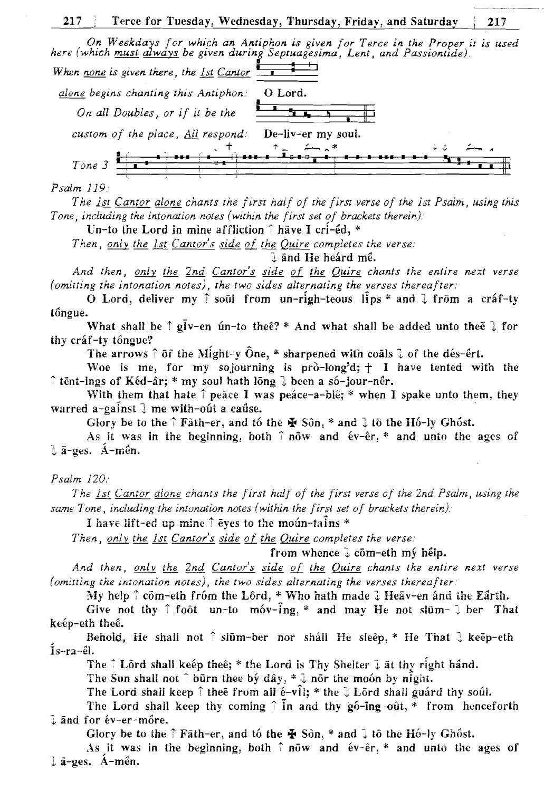On Weekdays for which an Antiphon is given for Terce in the Proper it is used<br>here (which must always be given during Septuagesima, Lent, and Passiontide). When none is given there, the 1st Cantor alone begins chanting this Antiphon: O Lord. On all Doubles, or if it be the custom of the place, All respond: De-liv-er mv soul.  $Tone 3$ 

Psalm 119:

The 1st Cantor alone chants the first half of the first verse of the 1st Psalm, using this Tone, including the intonation notes (within the first set of brackets therein):

Un-to the Lord in mine affliction  $\hat{ }$  have I cri-ed, \*

Then, only the 1st Cantor's side of the Quire completes the verse:

I and He heárd mé.

217

And then, only the 2nd Cantor's side of the Quire chants the entire next verse (omitting the intonation notes), the two sides alternating the verses thereafter:

O Lord, deliver my  $\hat{ }$  soul from un-righ-teous lips \* and  $\hat{ }$  from a craf-ty tôngue.

What shall be  $\hat{z}$  giv-en un-to the  $\hat{z}$  \* And what shall be added unto the  $\hat{z}$  for thy cráf-ty tổngue?

The arrows  $\hat{\uparrow}$  of the Might-y One, \* sharpened with coals  $\hat{\downarrow}$  of the dés-êrt.

Woe is me, for my solourning is  $\text{pr\`o-long\`d}$ ;  $\dagger$  I have tented with the ↑ tēnt-ings of Kéd-âr; \* my soul hath lõng ↓ been a só-jour-nêr.

With them that hate  $\hat{\tau}$  peace I was peace-a-ble; \* when I spake unto them, they warred a-gainst  $\lambda$  me with-out a cause.

Glory be to the  $\hat{\mathsf{r}}$  Fäth-er, and to the  $\tilde{\mathbb{F}}$  Sôn, \* and  $\tilde{\mathsf{r}}$  to the Ho-ly Ghost.

As it was in the beginning, both  $\hat{v}$  now and  $\hat{v}$  =  $\hat{v}$  and unto the ages of  $l$   $\bar{a}$ -ges.  $\dot{A}$ -mên.

#### $Psalm$  120:

The <u>1st Cantor alone</u> chants the first half of the first verse of the 2nd Psalm, using the same Tone, including the intonation notes (within the first set of brackets therein):

I have lift-ed up mine  $\hat{\uparrow}$  eyes to the moun-tains \*

Then, only the 1st Cantor's side of the Quire completes the verse:

from whence  $\frac{1}{2}$  com-eth my help.

And then, only the 2nd Cantor's side of the Quire chants the entire next verse (omitting the intonation notes), the two sides alternating the verses thereafter:

My help  $\hat{ }$  com-eth fróm the Lôrd, \* Who hath made  $\hat{ }$  Heav-en and the Earth.

Give not thy  $\hat{ }$  foot un-to mov-ing, \* and may He not slum-  $\hat{ }$  ber That keép-eth theé.

Behold, He shall not Î slum-ber nor shall He sleep, \* He That I keep-eth  $i$ s-ra-él.

The  $\hat{i}$  Lord shall keep thee; \* the Lord is Thy Shelter  $\hat{j}$  at thy right hand.

The Sun shall not  $\hat{\uparrow}$  būrn thee by dây,  $\hat{\uparrow}$  and the moon by night.

The Lord shall keep  $\hat{ }$  the from all  $\acute{e}$ -vil; \* the  $\hat{ }$  Lord shall guard thy soul.

The Lord shall keep thy coming  $\hat{I}$  in and thy go-ing out, \* from henceforth l and for év-er-môre.

Glory be to the  $\uparrow$  Fath-er, and to the  $\clubsuit$  Sôn, \* and  $\downarrow$  to the Ho-ly Ghost.

As it was in the beginning, both  $\hat{\tau}$  now and  $\hat{\epsilon}v-\hat{e}r$ ,  $*$  and unto the ages of  $\sqrt{a}$ -ges. A-mên.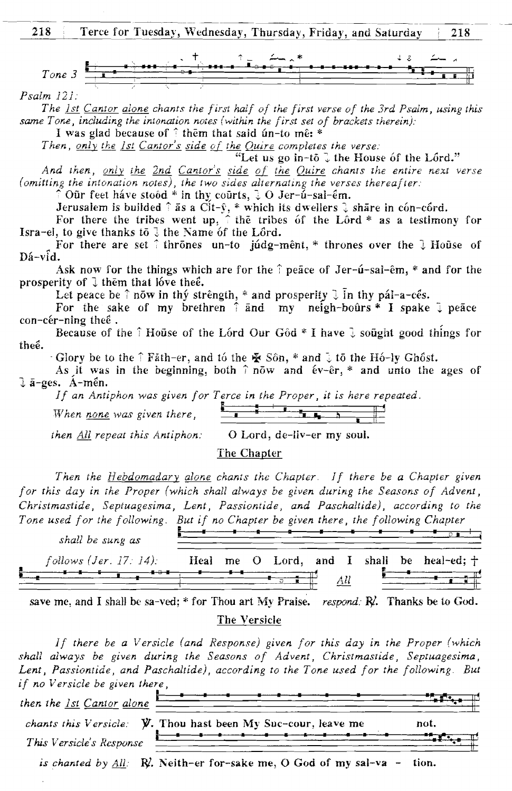218 Terce for Tuesday, Wednesday, Thursday, Friday, and Saturday 218

Tone 3

 $Psalm 121.$ 

The 1st Cantor alone chants the first half of the first verse of the 3rd Psalm, using this same Tone, including the intonation notes (within the first set of brackets therein):

I was glad because of  $\hat{ }$  them that said ún-to mê: \*

Then, only the 1st Cantor's side of the Quire completes the verse:

"Let us go in-to  $\sqrt[n]{\ }$  the House of the Lord."

And then, only the 2nd Cantor's side of the Quire chants the entire next verse (omitting the intonation notes), the two sides alternating the verses thereafter:

 $\tilde{\uparrow}$  Our feet have stood  $*$  in thy courts,  $\partial$  O Jer-n-sal-em.

Jerusalem is builded  $\hat{a}$  as a Cit- $\hat{y}$ , \* which its dwellers  $\hat{y}$  share in con-cord.<br>For there the tribes went up,  $\hat{a}$  the tribes of the Lord \* as a testimony for Isra-el, to give thanks to  $\downarrow$  the Name of the Lord.

For there are set  $\hat{i}$  thrones un-to judg-ment, \* thrones over the  $\hat{j}$  House of Dá-vid.

Ask now for the things which are for the  $\hat{ }$  peace of Jer-u-sal-êm, \* and for the prosperity of  $\downarrow$  them that love thee.

Let peace be  $\uparrow$  now in thy strêngth, \* and prosperity  $\downarrow$  in thy pal-a-ces.

For the sake of my brethren  $\hat{a}$  and my neigh-bours  $\hat{a}$  I spake  $\hat{a}$  peace con-cér-ning theé.

Because of the  $\hat{ }$  House of the Lord Our God \* I have  $\hat{ }$  sought good things for theé.

Glory be to the  $\uparrow$  Fath-er, and to the  $\mathbb F$  Sôn,  $*$  and  $\downarrow$  to the Ho-ly Ghost.

As it was in the beginning, both  $\hat{p}$  now and  $\hat{e}v-\hat{e}r$ ,  $*$  and unto the ages of  $\sqrt{a}$ -ges. A-mén.

If an Antiphon was given for Terce in the Proper, it is here repeated.

When none was given there,

then All repeat this Antiphon:

The Chapter

O Lord, de-liv-er my soul.

Then the Hebdomadary alone chants the Chapter. If there be a Chapter given for this day in the Proper (which shall always be given during the Seasons of Advent, Christmastide, Septuagesima, Lent, Passiontide, and Paschaltide), according to the Tone used for the following. But if no Chapter be given there, the following Chapter

| shall be sung as          |  |  |  |  |                                                   |
|---------------------------|--|--|--|--|---------------------------------------------------|
| follows $(Jer. 17: 14)$ : |  |  |  |  | Heal me O Lord, and I shall be heal-ed; $\dagger$ |
|                           |  |  |  |  |                                                   |

save me, and I shall be sa-ved; \* for Thou art My Praise. respond:  $R'$ . Thanks be to God. The Versicle

If there be a Versicle (and Response) given for this day in the Proper (which shall always be given during the Seasons of Advent, Christmastide, Septuagesima, Lent, Passiontide, and Paschaltide), according to the Tone used for the following. But if no Versicle be given there,



is chanted by  $All$ : R. Neith-er for-sake me, O God of my sal-va tion.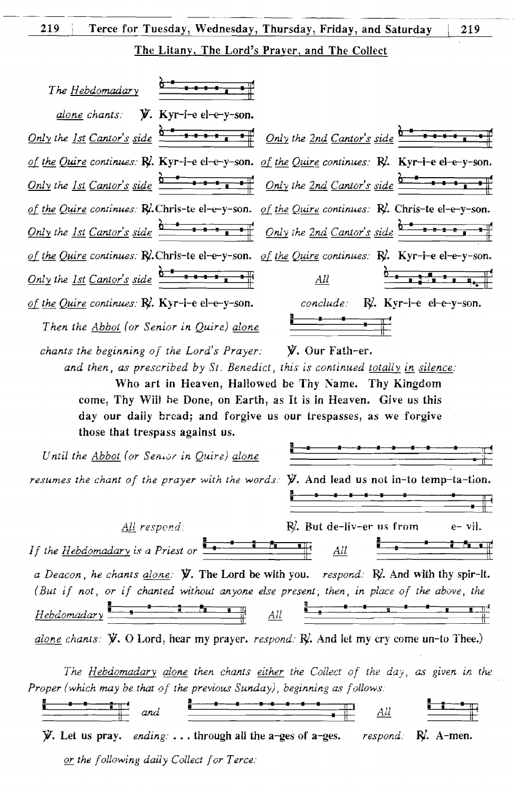| The <u>Hebd</u> omadar y                                                                                  |
|-----------------------------------------------------------------------------------------------------------|
| alone chants: <b>y.</b> Kyr-i-e el-e-y-son.                                                               |
| Only the 1st Cantor's side $\frac{b^*+1}{b^*+1}$ only the 2nd Cantor's side $\frac{b^*+1}{b^*+1}$         |
| of the Quire continues: R. Kyr-i-e el-e-y-son. of the Quire continues: R. Kyr-i-e el-e-y-son.             |
| Only the 1st Cantor's side $\frac{b^* + b}{b^* + b}$ Only the 2nd Cantor's side $\frac{b^* + b}{b^* + b}$ |
| of the Quire continues: R. Chris-te el-e-y-son. of the Quire continues: R. Chris-te el-e-y-son.           |
|                                                                                                           |
| of the Quire continues: R. Chris-te el-e-y-son. of the Quire continues: R. Kyr-i-e el-e-y-son.            |
| $\frac{0}{1}$<br>All                                                                                      |
| of the Quire continues: $R'$ . Kyr-i-e el-e-y-son.<br>conclude: R. Kyr-i-e el-e-y-son.                    |
| Then the Abbot (or Senior in Quire) alone                                                                 |
| chants the beginning of the Lord's Prayer: $\mathbf{V}$ . Our Fath-er.                                    |
| and then, as prescribed by St. Benedict, this is continued totally in silence:                            |
| Who art in Heaven, Hallowed be Thy Name. Thy Kingdom                                                      |
| come, Thy Will be Done, on Earth, as It is in Heaven. Give us this                                        |
| day our daily bread; and forgive us our trespasses, as we forgive                                         |
| those that trespass against us.                                                                           |
| $\cdots$                                                                                                  |

Until the Abbot (or Senior in Quire) alone resumes the chant of the prayer with the words:  $\mathbf{\nabla}$ . And lead us not in-to temp-ta-tion. All respond: R. But de-liv-er us from e-vil. If the <u>Hebdomadary</u> is a Priest or  $\frac{1}{2}$   $\frac{1}{2}$   $\frac{1}{2}$   $\frac{1}{2}$ All a Deacon, he chants alone:  $\mathcal Y$ . The Lord be with you. respond:  $\mathbb R$ . And with thy spir-it. (But if not, or if chanted without anyone else present; then, in place of the above, the  $Hebdomadary$   $\frac{1}{1}$   $\frac{1}{1}$   $\frac{1}{1}$   $\frac{1}{1}$   $\frac{1}{1}$   $\frac{1}{1}$   $\frac{1}{1}$  $All$ 

alone chants:  $\mathbf{V}$ . O Lord, hear my prayer. respond:  $\mathbf{R}'$ . And let my cry come un-to Thee.)

The Hebdomadary alone then chants either the Collect of the day, as given in the Proper (which may be that of the previous Sunday), beginning as follows:



 $\mathbf{\hat{y}}$ . Let us pray. *ending*: ... through all the a-ges of a-ges. respond. R. A-men. or the following daily Collect for Terce: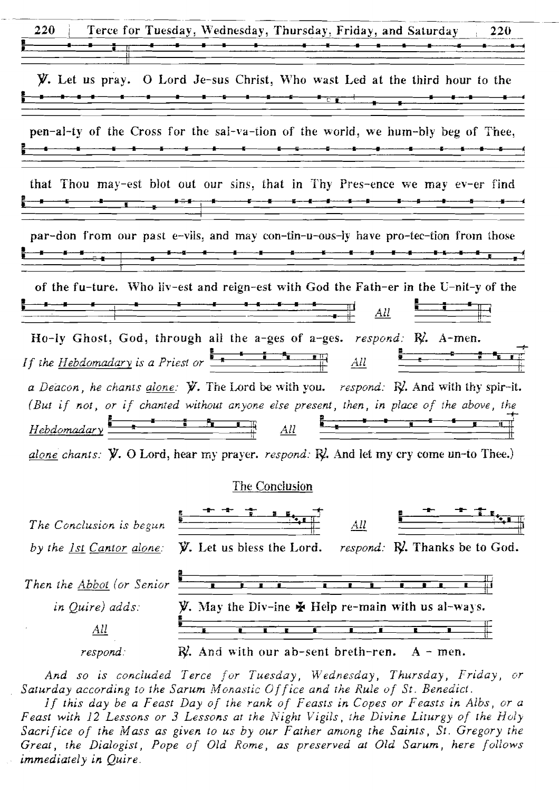| 220<br>Terce for Tuesday, Wednesday, Thursday, Friday, and Saturday<br>220                                                                                                                                                                      |  |
|-------------------------------------------------------------------------------------------------------------------------------------------------------------------------------------------------------------------------------------------------|--|
| <b>y.</b> Let us pray. O Lord Je-sus Christ, Who wast Led at the third hour to the                                                                                                                                                              |  |
| pen-al-ty of the Cross for the sal-va-tion of the world, we hum-bly beg of Thee,                                                                                                                                                                |  |
| that Thou may-est blot out our sins, that in Thy Pres-ence we may ev-er find                                                                                                                                                                    |  |
| par-don from our past e-vils, and may con-tin-u-ous-ly have pro-tec-tion from those                                                                                                                                                             |  |
| of the fu-ture. Who liv-est and reign-est with God the Fath-er in the U-nit-y of the<br>All                                                                                                                                                     |  |
| Ho-ly Ghost, God, through all the a-ges of a-ges. respond: $R'$ . A-men.<br>If the Hebdomadary is a Priest or $\frac{1}{2}$ $\frac{1}{2}$ $\frac{1}{2}$ $\frac{1}{2}$<br>All                                                                    |  |
| a Deacon, he chants <i>alone:</i> $\dot{y}$ . The Lord be with you. <i>respond:</i> $\dot{R}$ . And with thy spir-it.<br>(But if not, or if chanted without anyone else present, then, in place of the above, the<br>Hebdomadary<br>$\Delta$ ll |  |
| alone chants: $\mathbf{V}$ . O Lord, hear my prayer. respond: $\mathbf{R}$ . And let my cry come un-to Thee.)                                                                                                                                   |  |
| The Conclusion                                                                                                                                                                                                                                  |  |
| All<br>The Conclusion is begun                                                                                                                                                                                                                  |  |
| respond: R. Thanks be to God.<br><b>y.</b> Let us bless the Lord.<br>by the 1st Cantor alone:                                                                                                                                                   |  |
| Then the Abbot (or Senior                                                                                                                                                                                                                       |  |
| <b>y.</b> May the Div-ine $\maltese$ Help re-main with us al-ways.<br>in Quire) adds:                                                                                                                                                           |  |
| <u>All</u>                                                                                                                                                                                                                                      |  |
| R. And with our ab-sent breth-ren.<br>respond:<br>$A - men.$                                                                                                                                                                                    |  |

And so is concluded Terce for Tuesday, Wednesday, Thursday, Friday, or Saturday according to the Sarum Monastic Office and the Rule of St. Benedict.

If this day be a Feast Day of the rank of Feasts in Copes or Feasts in Albs, or a Feast with 12 Lessons or 3 Lessons at the Night Vigils, the Divine Liturgy of the Holy Sacrifice of the Mass as given to us by our Father among the Saints, St. Gregory the Great, the Dialogist, Pope of Old Rome, as preserved at Old Sarum, here follows immediately in Quire.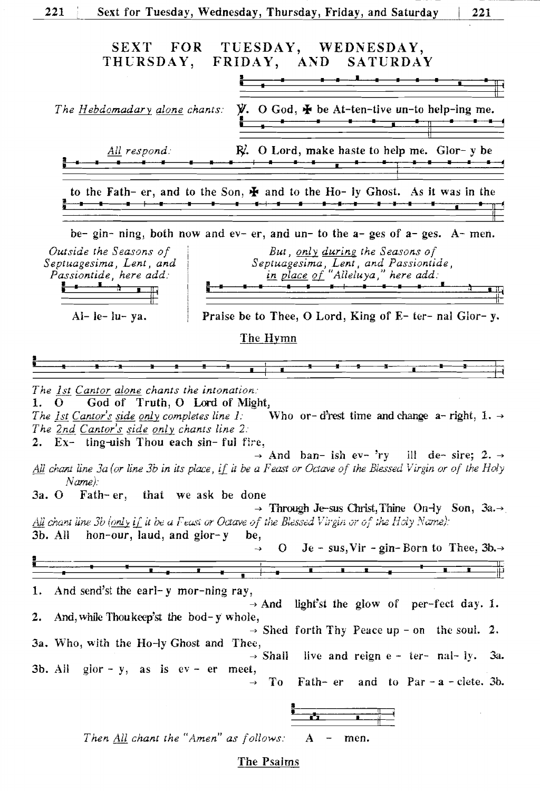221



$$
\frac{1}{\frac{1}{\sqrt{2}}}
$$

Then All chant the "Amen" as follows: men. A

# The Psalms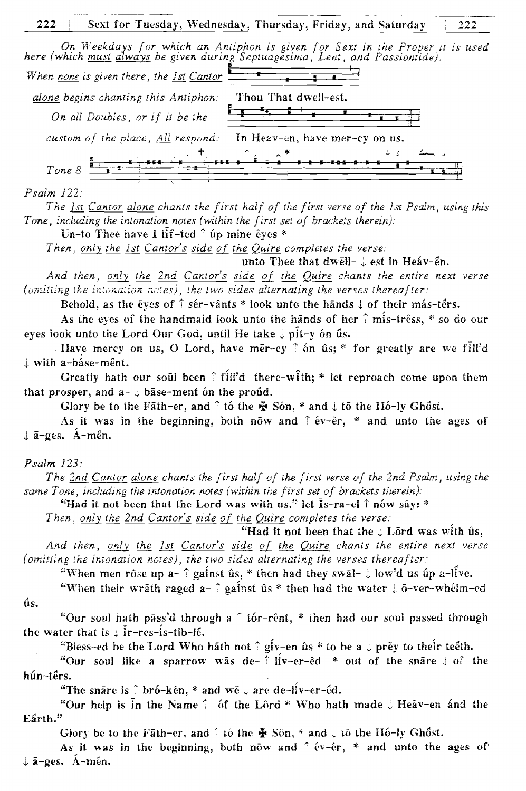#### Sext for Tuesday, Wednesday, Thursday, Friday, and Saturday 222

 $222$ 

On Weekdays for which an Antiphon is given for Sext in the Proper it is used<br>here (which must always be given during Septuagesima, Lent, and Passiontide).



 $Psalm$  122:

The 1st Cantor alone chants the first half of the first verse of the 1st Psalm, using this Tone, including the intonation notes (within the first set of brackets therein):

Un-to Thee have I lif-ted  $\hat{\uparrow}$  up mine eves \*

Then, only the 1st Cantor's side of the Quire completes the verse:

unto Thee that  $dw\bar{e}$ ll-  $\downarrow$  est in Heav-en.

And then, only the 2nd Cantor's side of the Quire chants the entire next verse (omitting the intonation notes), the two sides alternating the verses thereafter:

Behold, as the eyes of  $\hat{ }$  sér-vânts \* look unto the hands  $\downarrow$  of their más-térs.

As the eyes of the handmaid look unto the hands of her  $\hat{r}$  mis-trêss,  $*$  so do our eyes look unto the Lord Our God, until He take  $\downarrow$  pit-y ón ús.

Have mercy on us, O Lord, have mer-cy  $\uparrow$  ón ûs; \* for greatly are we fill'd U with a-báse-mênt.

Greatly hath our soul been  $\hat{f}$  fill'd there-with; \* let reproach come upon them that prosper, and  $a - \frac{1}{2}$  base-ment on the proud.

Glory be to the Fath-er, and  $\hat{ }$  to the  $\mathbb{\mathcal{F}}$  Sôn,  $*$  and  $\downarrow$  to the Ho-ly Ghost.

As it was in the beginning, both now and  $\hat{ }$  év-er,  $*$  and unto the ages of  $\downarrow$   $\bar{a}$ -ges.  $\acute{A}$ -men.

## $Psalm$  123:

The 2nd Cantor alone chants the first half of the first verse of the 2nd Psalm, using the same Tone, including the intonation notes (within the first set of brackets therein):

"Had it not been that the Lord was with us," let  $\bar{I}$ s-ra-el  $\hat{I}$  nów sây: \*

Then, only the 2nd Cantor's side of the Quire completes the verse.

"Had it not been that the  $\downarrow$  Lord was with us.

And then, only the 1st Cantor's side of the Quire chants the entire next verse (omitting the intonation notes), the two sides alternating the verses thereafter:

"When men röse up a-  $\hat{ }$  gainst  $\hat{u}s$ , \* then had they swal-  $\hat{ }$  low'd us up a-live.

"When their wrath raged  $a-\hat{i}$  gainst  $\hat{u}s *$  then had the water  $\hat{v}$  o-ver-whelm-ed ûs.

"Our soul hath pass'd through a  $\hat{ }$  tor-rent, \* then had our soul passed through the water that is  $\sqrt{r}$  ir-res-is-tib-lé.

"Bless-ed be the Lord Who hath not  $\hat{ }$  giv-en  $\hat{u}$ s \* to be a  $\downarrow$  prēy to their teeth.

"Our soul like a sparrow was de-  $\hat{I}$  liv-er-ed \* out of the snare  $\hat{I}$  of the hún-têrs.

"The snare is  $\hat{ }$  bró-kên, \* and we  $\hat{ }$  are de-liv-er-êd.

"Our help is in the Name  $\hat{i}$  of the Lord \* Who hath made  $\hat{j}$  Heav-en and the Eárth."

Glory be to the Fath-er, and  $\hat{ }$  to the  $\mathbf{\Psi}$  Son,  $^{*}$  and  $_{4}$  to the Ho-ly Ghost.

As it was in the beginning, both now and  $\hat{v}$  ev-er, \* and unto the ages of  $\downarrow$   $\bar{a}$ -ges. A-men.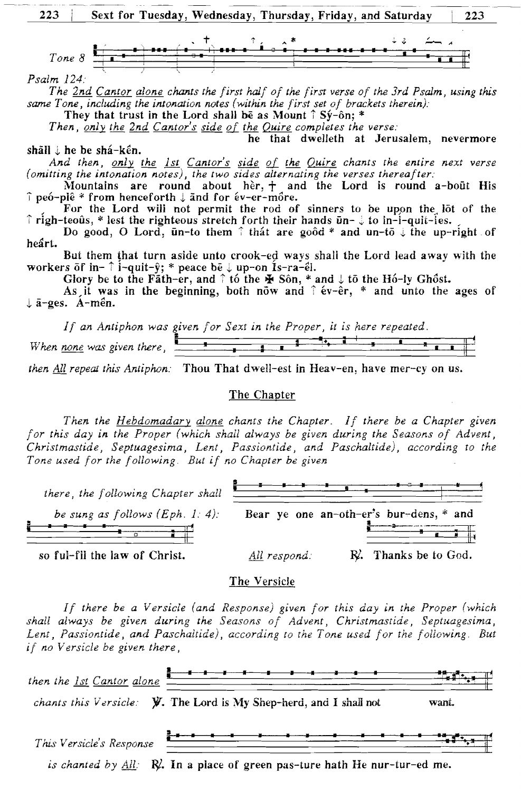223 | Sext for Tuesday, Wednesday, Thursday, Friday, and Saturday | 223 223 **i** Sext for Tuesday, Wednesday, Thursday, Friday, and Saturday  $\vert$  223 Tone 8

*Psalm 124:* 

*The 2nd Cantor alone chants tk first haif of the f irsr verse of the 3rd Fsaim, using this same Tone, including the intonation notes (within the first set of brackets therein):* 

They that trust in the Lord shall be as Mount  $\hat{ }$  Sy-ôn; \*

*Then, only the 2nd Cantor's side of the Quire completes the verse:* 

he that dwelleth at Jerusalem, nevermore shāll  $\downarrow$  he be shá-kén.

And then, only the 1st Cantor's side of the Quire chants the entire next verse *(omitting the intonation notes), the two sides alternating the verses thereafter:* 

**A**  I pe6-pi6 \* from henceforth I 5nd for &v-er-m6re. Mountains are round about her,  $\dot{\uparrow}$  and the Lord is round a-bout His

For the Lord will not permit the rod of sinners to be upon the lot of the  $\hat{\tau}$  righ-teous, \* lest the righteous stretch forth their hands  $\bar{\nu}$  in- $\hat{\tau}$  to in-i-quit-ies.

Do good, **0** Lord: iin-to them *7* **chit** are **go6d** \* and un-i6 the up-rignt of heart.

**But** them fhat turn aside unto crook-ea ways shali the Lord lead away with the workers  $\delta f$  in-  $\uparrow$  i-quit- $\hat{y}$ ; \* peace  $\delta \bar{\epsilon} \downarrow$  up-on Is-ra- $\hat{e}$ l.

| If an Antiphon was given for Sext in the Proper, it is here repeated. |  |  |  |
|-----------------------------------------------------------------------|--|--|--|
| When none was given there,                                            |  |  |  |

### The Chapter

| Dut them that furn asine unto crook eq ways shall the Lord lead away with the<br>workers of in- $\uparrow$ i-quit- $\hat{y}$ ; * peace be $\downarrow$ up-on Is-ra-el.<br>Glory be to the Fath-er, and $\uparrow$ tó the $\clubsuit$ Sôn, * and $\downarrow$ tō the Hó-ly Ghồst.<br>As it was in the beginning, both now and $\hat{i}$ év- $\hat{e}$ r, $*$ and unto the ages of<br>↓ ā-ges. A-mên.                                                     |                                         |                      |  |
|---------------------------------------------------------------------------------------------------------------------------------------------------------------------------------------------------------------------------------------------------------------------------------------------------------------------------------------------------------------------------------------------------------------------------------------------------------|-----------------------------------------|----------------------|--|
| If an Antiphon was given for Sext in the Proper, it is here repeated.                                                                                                                                                                                                                                                                                                                                                                                   |                                         |                      |  |
| $\begin{array}{ c c c c }\hline \textbf{1} & \textbf{2} & \textbf{3} & \textbf{5} & \textbf{1} & \textbf{1} & \textbf{1} & \textbf{1} & \textbf{1} & \textbf{1} & \textbf{1} & \textbf{1} & \textbf{1} & \textbf{1} & \textbf{1} & \textbf{1} & \textbf{1} & \textbf{1} & \textbf{1} & \textbf{1} & \textbf{1} & \textbf{1} & \textbf{1} & \textbf{1} & \textbf{1} & \textbf{1} & \textbf{1} & \textbf{1} & \textbf{1} &$<br>When none was given there, |                                         |                      |  |
| then All repeat this Antiphon: Thou That dwell-est in Heav-en, have mer-cy on us.                                                                                                                                                                                                                                                                                                                                                                       |                                         |                      |  |
|                                                                                                                                                                                                                                                                                                                                                                                                                                                         | The Chapter                             |                      |  |
| Then the Hebdomadary alone chants the Chapter. If there be a Chapter given<br>for this day in the Proper (which shall always be given during the Seasons of Advent,<br>Christmastide, Septuagesima, Lent, Passiontide, and Paschaltide), according to the<br>Tone used for the following. But if no Chapter be given                                                                                                                                    |                                         |                      |  |
| there, the following Chapter shall                                                                                                                                                                                                                                                                                                                                                                                                                      |                                         |                      |  |
| be sung as follows $(Eph. 1: 4)$ .                                                                                                                                                                                                                                                                                                                                                                                                                      | Bear ye one an-oth-er's bur-dens, * and |                      |  |
| so ful-fil the law of Christ.                                                                                                                                                                                                                                                                                                                                                                                                                           | All respond:                            | R. Thanks be to God. |  |

### The Versicle

If there be a Versicle (and Response) given for this day in the Proper (which shall always be given during the Seasons of Advent, Christmastide, Septuagesima, Lent, Passiontide, and Paschaltide), according to the Tone used for the following. But *if no Versicle be given there,* 

| then the 1st Cantor alone |                                                                                                    |       |
|---------------------------|----------------------------------------------------------------------------------------------------|-------|
|                           | chants this Versicle: $\mathbf{Y}$ . The Lord is My Shep-herd, and I shall not                     | wani. |
| This Versicle's Response  |                                                                                                    |       |
|                           | is chanted by $\underline{All}$ : $R\lambda$ . In a place of green pas-ture hath He nur-tur-ed me. |       |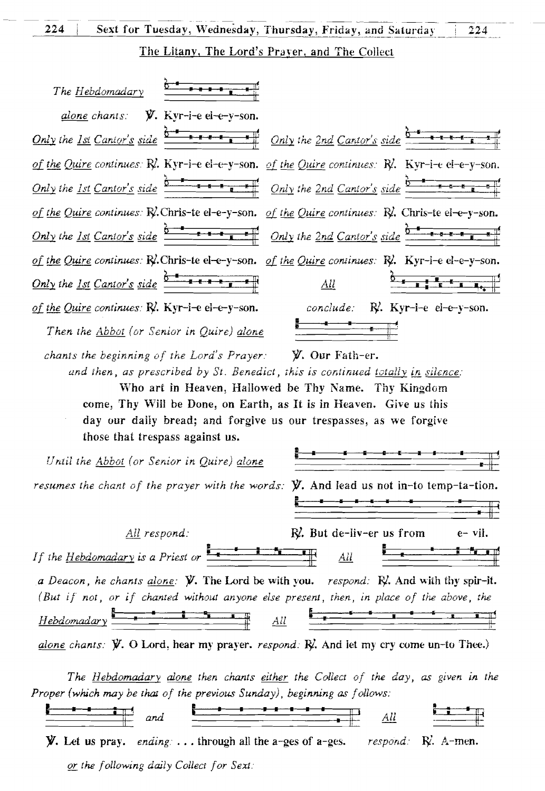The Litany, The Lord's Praver, and The Collect

224



The Hebdomadary alone then chants either the Collect of the day, as given in the Proper (which may be that of the previous Sunday), beginning as follows:

and All **y.** Let us pray. *ending* ... through all the a-ges of a-ges.  $R'$ . A-men. respond: or the following daily Collect for Sext: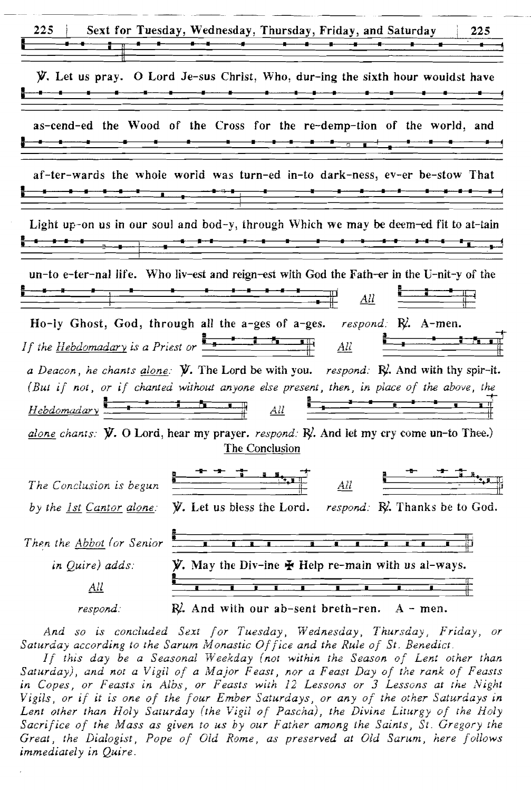| 225                                                                                                            | Sext for Tuesday, Wednesday, Thursday, Friday, and Saturday<br>225                                                                                                                                                                                                              |
|----------------------------------------------------------------------------------------------------------------|---------------------------------------------------------------------------------------------------------------------------------------------------------------------------------------------------------------------------------------------------------------------------------|
|                                                                                                                |                                                                                                                                                                                                                                                                                 |
|                                                                                                                | <b>y.</b> Let us pray. O Lord Je-sus Christ, Who, dur-ing the sixth hour wouldst have<br>+                                                                                                                                                                                      |
|                                                                                                                | as-cend-ed the Wood of the Cross for the re-demp-tion of the world, and<br><del>▁▝▋▁▁▝▋▀▁▀▀▊▁▝▋▀▔▊▀▊▀▊▀▊▀▊▀▊▔</del><br>▗▄▙▗▖▖▞▚▗▖▖▀▚                                                                                                                                            |
|                                                                                                                | af-ter-wards the whole world was turn-ed in-to dark-ness, ev-er be-stow That                                                                                                                                                                                                    |
|                                                                                                                | Light up-on us in our soul and bod-y, through Which we may be deem-ed fit to at-tain                                                                                                                                                                                            |
|                                                                                                                | un-to e-ter-nal life. Who liv-est and reign-est with God the Fath-er in the U-nit-y of the<br>$\underline{All}$                                                                                                                                                                 |
|                                                                                                                | Ho-ly Ghost, God, through all the a-ges of a-ges. respond. R. A-men.<br>If the <u>Hebdomadary</u> is a Priest or $\frac{2\pi}{3}$ $\frac{1\pi}{3}$ $\frac{1\pi}{3}$ All<br>$\begin{array}{c c c c c} \hline \bullet & \bullet & \bullet & \bullet \\ \hline \hline \end{array}$ |
|                                                                                                                | a Deacon, he chants alone: <b>y.</b> The Lord be with you. respond: <b>R</b> . And with thy spir-it.                                                                                                                                                                            |
|                                                                                                                | (But if not, or if chanted without anyone else present, then, in place of the above, the                                                                                                                                                                                        |
| $Hebdomadar$ $\frac{1}{2}$ $\frac{1}{2}$ $\frac{1}{2}$ $\frac{1}{2}$ $\frac{1}{2}$ $\frac{1}{2}$ $\frac{1}{2}$ |                                                                                                                                                                                                                                                                                 |
|                                                                                                                | alone chants: <b>y.</b> O Lord, hear my prayer. respond: R. And let my cry come un-to Thee.)<br><b>The Conclusion</b>                                                                                                                                                           |
| The Conclusion is begun                                                                                        | $\Delta ll$                                                                                                                                                                                                                                                                     |
| by the <u>1st Cantor</u> alone:                                                                                | V. Let us bless the Lord.<br><i>respond:</i> R. Thanks be to God.                                                                                                                                                                                                               |
| Then the Abbot (or Senior                                                                                      | $\overline{\bullet}$                                                                                                                                                                                                                                                            |
| in Quire) adds:                                                                                                | <b>y.</b> May the Div-ine $\ddot{\mathbf{\Psi}}$ Help re-main with us al-ways.                                                                                                                                                                                                  |
| <u>All</u>                                                                                                     |                                                                                                                                                                                                                                                                                 |
| respond:                                                                                                       | R. And with our ab-sent breth-ren.<br>$A - men.$                                                                                                                                                                                                                                |

And so is concluded Sext for Tuesday, Wednesday, Thursday, Friday, or Saturday according to the Sarum Monastic Office and the Rule of St. Benedict.

If this day be a Seasonal Weekday (not within the Rue of St. Beneath.)<br>Saturday), and not a Vigil of a Major Feast, nor a Feast Day of the rank of Feasts<br>in Copes, or Feasts in Albs, or Feasts with 12 Lessons or 3 Lessons Lent other than Holy Saturday (the Vigil of Pascha), the Divine Liturgy of the Holy<br>Sacrifice of the Mass as given to us by our Father among the Saints, St. Gregory the Great, the Dialogist, Pope of Old Rome, as preserved at Old Sarum, here follows immediately in Quire.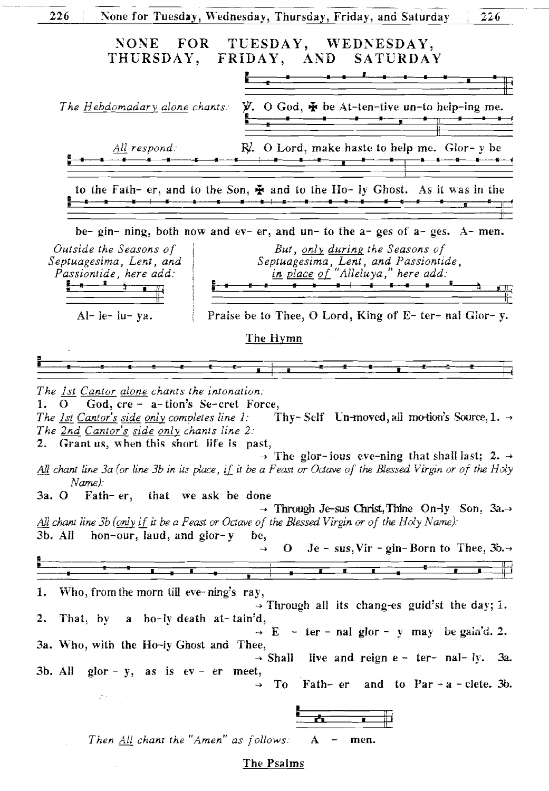

#### The Psalms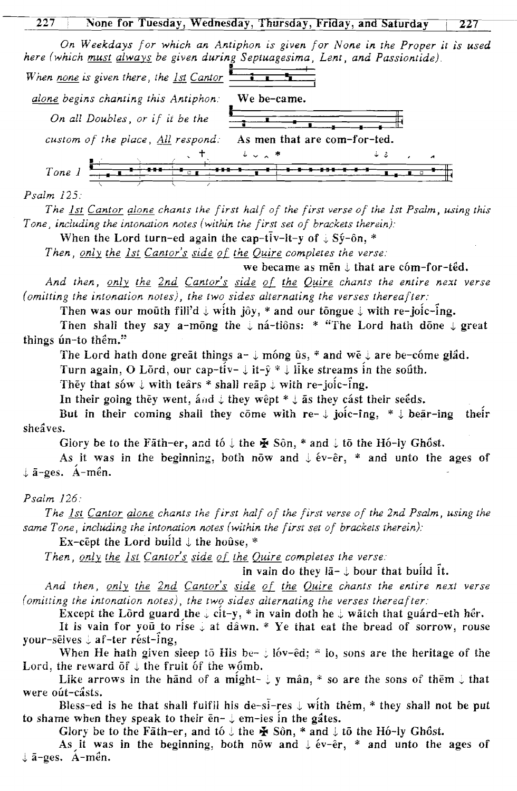## **227 None for Tuesday, Wednesday, Thursday, Friday, and Saturday 1-227**

*On Weekdays for which an Antiphon is given for None in the Proper it is used* 

|                                          | here (which must always be given during Septuagesima, Lent, and Passiontide). |
|------------------------------------------|-------------------------------------------------------------------------------|
| When none is given there, the 1st Cantor |                                                                               |
| alone begins chanting this Antiphon.     | We be-came.                                                                   |
| On all Doubles, or if it be the          |                                                                               |
| custom of the place, $All$ respond:      | As men that are com-for-ted.                                                  |
|                                          | ↓ ↓ ↓ ★                                                                       |
| Tone 1<br>$\overline{c}$ .               |                                                                               |

*Psaim* **i25:** *m,* 

*rhe 1st Cantor alone chants the first half of the first verse of the ist Psalm, using this Tone, including the intonation notes (within the first set of brackets therein):* 

When the Lord turn-ed again the cap-tiv-it-y of  $\frac{1}{4} S$ y-ôn, \*

*Then, only the 1st Cantor's side of the Quire completes the verse:* 

we became as men  $\downarrow$  that are com-for-ted.

And then, only the 2nd Cantor's side of the Quire chants the entire next verse *(omitting the intonation notes), the two sides alternating the verses thereafter:* 

Then was our mouth fill'd  $\downarrow$  with joy, \* and our tongue  $\downarrow$  with re-joic-ing.

Then shall they say a-mong the  $\downarrow$  na-tions: \* "The Lord hath done  $\downarrow$  great things ún-to thêm."

The Lord hath done great things  $a - \downarrow$  móng  $\hat{u}s$ , \* and we  $\downarrow$  are be-cóme glâd.

Turn again, O Lord, our cap-tiv-  $\downarrow$  it- $\hat{v} * \downarrow$  like streams in the south.

They that sow  $\downarrow$  with tears \* shall reap  $\downarrow$  with re-joic-ing.

In their going they went, and  $\downarrow$  they wept  $* \downarrow$  as they cast their seeds.

But in their coming shall they come with re-  $\downarrow$  joic-ing,  $* \downarrow$  bear-ing their sheaves.

Giory be to the Fath-er, and to  $\downarrow$  the  $\clubsuit$  Sôn,  $*$  and  $\downarrow$  to the H6-ly Gh6st.

As it was in the beginning, both now and  $\frac{1}{2}$  év-êr,  $*$  and unto the ages of  $\downarrow$   $\tilde{a}$ -ges.  $\acute{A}$ -men.

## *Psalm 126:*

The 1st Cantor alone chants the first half of the first verse of the 2nd Psalm, using the *same Tone, including the intonation notes (within the first set of brackets therein):* 

Ex-cēpt the Lord build  $\downarrow$  the house,  $*$ 

*Then, only the ist Cantor's side of the Quire completes the Yerse:* 

in vain **do** they **12-** i bour that buiid it.

And then, only the 2nd Cantor's side of the Quire chants the entire next verse *(orniicing the intonation nores)* , *the rwq sides alrernating the verses thereafter:*  d then, <u>only the 2nd Cantor's side of the Quire</u> chants the entire next vers<br>ig the intonation notes), the two sides alternating the verses thereafter:<br>Except the Lörd guard the  $\downarrow$  cit-y, \* in vain doth he  $\downarrow$  watch

liest intonation notes), the two sides alternating the verses thereafter:<br>Except the Lord guard the  $\downarrow$  cit-y, \* in vain doth he  $\downarrow$  watch that guard-eth her.<br>It is vain for you to rise  $\downarrow$  at dawn. \* Ye that eat th your-selves  $\downarrow$  af-ter rést-ing,

When He hath given sleep to His be-  $\downarrow$  lóv-êd;  $*$  lo, sons are the heritage of the Lord, the reward  $\delta f \downarrow$  the fruit  $\delta f$  the w $\delta$ mb.

Like arrows in the hand of a might-  $\downarrow$  y man,  $*$  so are the sons of them  $\downarrow$  that were out-casts.

Bless-ed is he that shall fulfil his de-si-res  $\downarrow$  with thêm, \* they shall not be put to shame when they speak to their  $\bar{e}_1$  em-ies in the gates.

Glory be to the Fäth-er, and to  $\downarrow$  the  $\clubsuit$  Son, \* and  $\downarrow$  to the Ho-ly Ghost.

As it was in the beginning, both now and  $\downarrow$  év-êr, \* and unto the ages of  $\downarrow$   $\bar{a}$ -ges.  $\acute{A}$ -mên.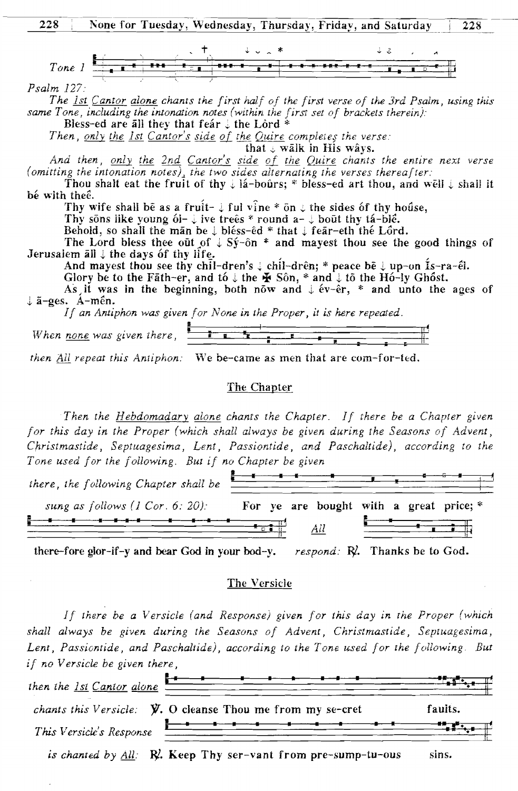228 None for Tuesday, Wednesday, Thursday, Friday, and Saturday 228

|         |  |  | $\mathbf{v}$ $\mathbf{v}$ $\mathbf{v}$ |     |                  | الملحة | <b>Contract Advised Advised Advised Advised Advised Advised Advised Advised Advised Advised Advised Advised Advis</b> |  |
|---------|--|--|----------------------------------------|-----|------------------|--------|-----------------------------------------------------------------------------------------------------------------------|--|
|         |  |  |                                        |     |                  |        |                                                                                                                       |  |
| $1$ One |  |  |                                        | ___ | ________________ |        |                                                                                                                       |  |
|         |  |  |                                        |     |                  |        |                                                                                                                       |  |
|         |  |  |                                        |     |                  |        |                                                                                                                       |  |

 $Psalm$  127.

The <u>1st Cantor</u> alone chants the first half of the first verse of the 3rd Psalm, using this same Tone, including the intonation notes (within the first set of brackets therein):

Bless-ed are all they that fear  $\downarrow$  the Lord \*

Then, only the 1st Cantor's side of the Quire completes the verse:

that  $\downarrow$  walk in His ways.

And then, only the 2nd Cantor's side of the Quire chants the entire next verse (omitting the intonation notes), the two sides alternating the verses thereafter:

Thou shalt eat the fruit of thy  $\downarrow$  la-bours; \* bless-ed art thou, and well  $\downarrow$  shall it bé with thee.

Thy wife shall be as a fruit-  $\downarrow$  ful vine \* on  $\downarrow$  the sides of thy house,

Thy sons like young  $6l - \frac{1}{2}$  ive trees \* round a-  $\frac{1}{2}$  bout thy ta-ble.

Behold, so shall the man be  $\downarrow$  bless-ed \* that  $\downarrow$  fear-eth the Lord.<br>The Lord bless thee out of  $\downarrow$  Sy-on \* and mayest thou see the good things of Jerusalem all  $\downarrow$  the days of thy life.

And may est thou see thy chil-dren's  $\downarrow$  chil-drên; \* peace be  $\downarrow$  up-on Is-ra-el.

Glory be to the Fath-er, and to  $\downarrow$  the  $\bigstar$  Sôn, \* and  $\downarrow$  to the Ho-ly Ghost.<br>As it was in the beginning, both now and  $\downarrow$  év-êr, \* and unto the ages of  $\downarrow$   $\bar{a}$ -ges. A-men.

If an Antiphon was given for None in the Proper, it is here repeated.

| When none was given there, $\frac{1}{\sqrt{2}}$ |  |
|-------------------------------------------------|--|
|                                                 |  |

then All repeat this Antiphon: We be-came as men that are com-for-ted.

## The Chapter

Then the Hebdomadary alone chants the Chapter. If there be a Chapter given for this day in the Proper (which shall always be given during the Seasons of Advent, Christmastide, Septuagesima, Lent, Passiontide, and Paschaltide), according to the Tone used for the following. But if no Chapter be given

| there, the following Chapter shall be       |  |                                           |  |  |  |
|---------------------------------------------|--|-------------------------------------------|--|--|--|
| sung as follows $(1 \text{ Cor. } 6: 20)$ : |  | For ye are bought with a great price; $*$ |  |  |  |
|                                             |  |                                           |  |  |  |

there-fore glor-if-y and bear God in your bod-y.  $respond$ :  $R<sup>j</sup>$ . Thanks be to God.

# The Versicle

If there be a Versicle (and Response) given for this day in the Proper (which shall always be given during the Seasons of Advent, Christmastide, Septuagesima, Lent, Passiontide, and Paschaltide), according to the Tone used for the following. But if no Versicle be given there,



is chanted by  $All: \mathbb{R}$ . Keep Thy ser-vant from pre-sump-tu-ous sins.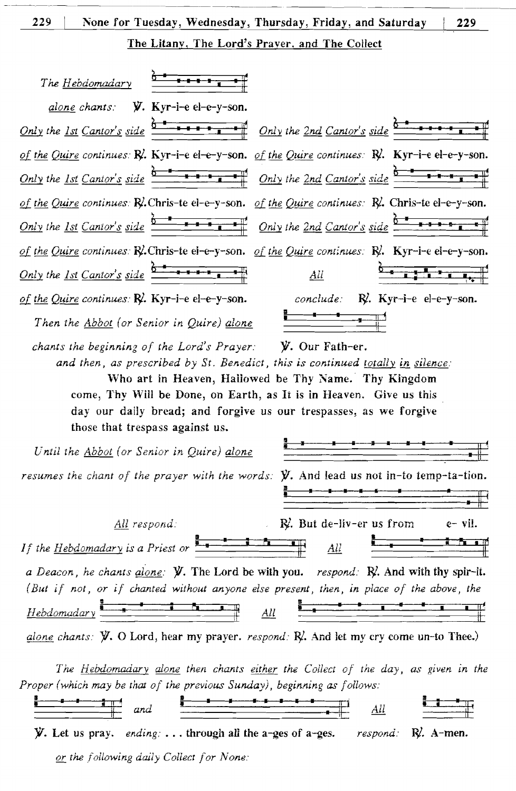| The Hebdomadary                                                                                                                                                                                                                                                                                                                                                                                |
|------------------------------------------------------------------------------------------------------------------------------------------------------------------------------------------------------------------------------------------------------------------------------------------------------------------------------------------------------------------------------------------------|
| $\mathbf{V}$ . Kyr-i-e el-e-y-son.<br>alone chants:                                                                                                                                                                                                                                                                                                                                            |
|                                                                                                                                                                                                                                                                                                                                                                                                |
| of the Quire continues: $R'$ . Kyr-i-e el-e-y-son. of the Quire continues: $R'$ . Kyr-i-e el-e-y-son.                                                                                                                                                                                                                                                                                          |
|                                                                                                                                                                                                                                                                                                                                                                                                |
| of the Quire continues: R. Chris-te el-e-y-son. of the Quire continues: R. Chris-te el-e-y-son.                                                                                                                                                                                                                                                                                                |
|                                                                                                                                                                                                                                                                                                                                                                                                |
| of the Quire continues: $R'$ . Chris-te ei-e-y-son. of the Quire continues: $R'$ . Kyr-i-e ei-e-y-son.                                                                                                                                                                                                                                                                                         |
| All                                                                                                                                                                                                                                                                                                                                                                                            |
| of the Quire continues. $\mathbb{R}'$ . Kyr-i-e el-e-y-son.<br>conclude. R. Kyr-i-e el-e-y-son.                                                                                                                                                                                                                                                                                                |
| Then the Abbot (or Senior in Quire) alone                                                                                                                                                                                                                                                                                                                                                      |
| chants the beginning of the Lord's Prayer: $\mathbf{V}$ . Our Fath-er.<br>and then, as prescribed by St. Benedict, this is continued totally in silence;<br>Who art in Heaven, Hallowed be Thy Name. Thy Kingdom<br>come, Thy Will be Done, on Earth, as It is in Heaven. Give us this<br>day our daily bread; and forgive us our trespasses, as we forgive<br>those that trespass against us. |
|                                                                                                                                                                                                                                                                                                                                                                                                |
| Until the Abbot (or Senior in Quire) alone                                                                                                                                                                                                                                                                                                                                                     |
| resumes the chant of the prayer with the words: $\mathbf{V}$ . And lead us not in-to temp-ta-tion.                                                                                                                                                                                                                                                                                             |
| $\mathbb{R}^2$ . But de-liv-er us from<br>$e$ $ v$ il.<br>All respond:                                                                                                                                                                                                                                                                                                                         |
| If the <u>Hebdomadary</u> is a Priest or $\frac{1}{2}$ $\frac{1}{2}$ $\frac{1}{2}$ $\frac{1}{2}$<br>$\underline{All}$                                                                                                                                                                                                                                                                          |
| a Deacon, he chants alone: $\mathcal Y$ . The Lord be with you. respond: $\mathbb R$ . And with thy spir-it.                                                                                                                                                                                                                                                                                   |
| (But if not, or if chanted without anyone else present, then, in place of the above, the                                                                                                                                                                                                                                                                                                       |
| $Hebdomadar$ $\frac{1}{2}$ $\frac{1}{2}$ $\frac{1}{2}$ $\frac{1}{2}$ $\frac{1}{2}$ $\frac{1}{2}$<br>$\frac{1}{1}$<br>$\frac{All}{\sqrt{1}}$                                                                                                                                                                                                                                                    |
| alone chants: $\mathcal{Y}$ . O Lord, hear my prayer. respond: $\mathcal{R}'$ . And let my cry come un-to Thee.)                                                                                                                                                                                                                                                                               |

The Hebdomadary alone then chants either the Collect of the day, as given in the Proper (which may be that of the previous Sunday), beginning as follows:



 $\mathbf{\hat{y}}$ . Let us pray. *ending*: ... through all the a-ges of a-ges. respond: R. A-men. or the following daily Collect for None:

229